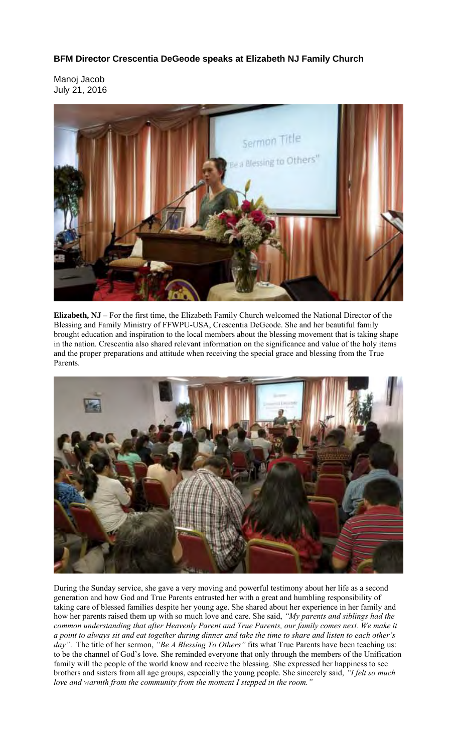## **BFM Director Crescentia DeGeode speaks at Elizabeth NJ Family Church**

Manoj Jacob July 21, 2016



**Elizabeth, NJ** – For the first time, the Elizabeth Family Church welcomed the National Director of the Blessing and Family Ministry of FFWPU-USA, Crescentia DeGeode. She and her beautiful family brought education and inspiration to the local members about the blessing movement that is taking shape in the nation. Crescentia also shared relevant information on the significance and value of the holy items and the proper preparations and attitude when receiving the special grace and blessing from the True Parents.



During the Sunday service, she gave a very moving and powerful testimony about her life as a second generation and how God and True Parents entrusted her with a great and humbling responsibility of taking care of blessed families despite her young age. She shared about her experience in her family and how her parents raised them up with so much love and care. She said, *"My parents and siblings had the common understanding that after Heavenly Parent and True Parents, our family comes next. We make it a point to always sit and eat together during dinner and take the time to share and listen to each other's day"*. The title of her sermon, *"Be A Blessing To Others"* fits what True Parents have been teaching us: to be the channel of God's love. She reminded everyone that only through the members of the Unification family will the people of the world know and receive the blessing. She expressed her happiness to see brothers and sisters from all age groups, especially the young people. She sincerely said, *"I felt so much love and warmth from the community from the moment I stepped in the room."*